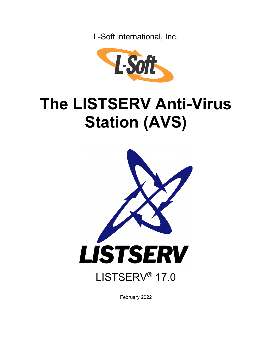L-Soft international, Inc.



# **The LISTSERV Anti-Virus Station (AVS)**



February 2022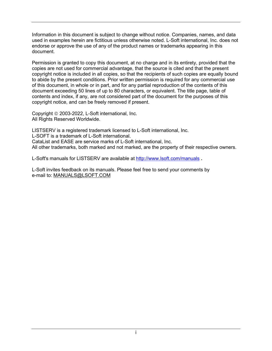Information in this document is subject to change without notice. Companies, names, and data used in examples herein are fictitious unless otherwise noted. L-Soft international, Inc. does not endorse or approve the use of any of the product names or trademarks appearing in this document.

Permission is granted to copy this document, at no charge and in its entirety, provided that the copies are not used for commercial advantage, that the source is cited and that the present copyright notice is included in all copies, so that the recipients of such copies are equally bound to abide by the present conditions. Prior written permission is required for any commercial use of this document, in whole or in part, and for any partial reproduction of the contents of this document exceeding 50 lines of up to 80 characters, or equivalent. The title page, table of contents and index, if any, are not considered part of the document for the purposes of this copyright notice, and can be freely removed if present.

Copyright 2003-2022, L-Soft international, Inc. All Rights Reserved Worldwide.

LISTSERV is a registered trademark licensed to L-Soft international, Inc. L-SOFT is a trademark of L-Soft international. CataList and EASE are service marks of L-Soft international, Inc. All other trademarks, both marked and not marked, are the property of their respective owners.

L-Soft's manuals for LISTSERV are available at<http://www.lsoft.com/manuals> **.**

L-Soft invites feedback on its manuals. Please feel free to send your comments by e-mail to: MANUALS@LSOFT.COM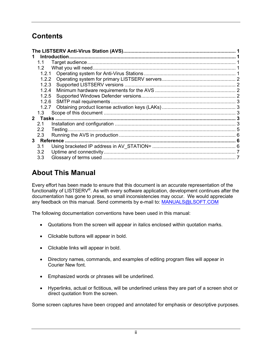# **Contents**

|  | 1.1           |  |  |
|--|---------------|--|--|
|  | 1.2           |  |  |
|  | 1.2.1         |  |  |
|  | 1.2.2         |  |  |
|  | 1.2.3         |  |  |
|  | 1.2.4         |  |  |
|  | 1.2.5         |  |  |
|  | 1.2.6         |  |  |
|  | 1.2.7         |  |  |
|  | 1.3           |  |  |
|  |               |  |  |
|  | 2.1           |  |  |
|  | $2.2^{\circ}$ |  |  |
|  | 2.3           |  |  |
|  |               |  |  |
|  | 3.1           |  |  |
|  | 3.2           |  |  |
|  | 3.3           |  |  |

## **About This Manual**

Every effort has been made to ensure that this document is an accurate representation of the functionality of LISTSERV®. As with every software application, development continues after the documentation has gone to press, so small inconsistencies may occur. We would appreciate any feedback on this manual. Send comments by e-mail to: [MANUALS@LSOFT.COM](mailto:MANUALS@LSOFT.COM)

The following documentation conventions have been used in this manual:

- Quotations from the screen will appear in italics enclosed within quotation marks.
- Clickable buttons will appear in bold.
- Clickable links will appear in bold.
- Directory names, commands, and examples of editing program files will appear in Courier New font.
- Emphasized words or phrases will be underlined.
- Hyperlinks, actual or fictitious, will be underlined unless they are part of a screen shot or direct quotation from the screen.

Some screen captures have been cropped and annotated for emphasis or descriptive purposes.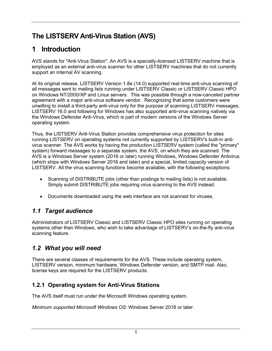# <span id="page-3-0"></span>**The LISTSERV Anti-Virus Station (AVS)**

# <span id="page-3-1"></span>**1 Introduction**

AVS stands for "Anti-Virus Station". An AVS is a specially-licensed LISTSERV machine that is employed as an external anti-virus scanner for other LISTSERV machines that do not currently support an internal AV scanning.

At its original release, LISTSERV Version 1.8e (14.0) supported real-time anti-virus scanning of all messages sent to mailing lists running under LISTSERV Classic or LISTSERV Classic HPO on Windows NT/2000/XP and Linux servers. This was possible through a now-canceled partner agreement with a major anti-virus software vendor. Recognizing that some customers were unwilling to install a third-party anti-virus only for the purpose of scanning LISTSERV messages, LISTSERV 16.0 and following for Windows has also supported anti-virus scanning natively via the Windows Defender Anti-Virus, which is part of modern versions of the Windows Server operating system.

Thus, the LISTSERV Anti-Virus Station provides comprehensive virus protection for sites running LISTSERV on operating systems not currently supported by LISTSERV's built-in antivirus scanner. The AVS works by having the production LISTSERV system (called the "primary" system) forward messages to a separate system, the AVS, on which they are scanned. The AVS is a Windows Server system (2016 or later) running Windows, Windows Defender Antivirus (which ships with Windows Server 2016 and later) and a special, limited capacity version of LISTSERV. All the virus scanning functions become available, with the following exceptions:

- Scanning of DISTRIBUTE jobs (other than postings to mailing lists) is not available. Simply submit DISTRIBUTE jobs requiring virus scanning to the AVS instead.
- Documents downloaded using the web interface are not scanned for viruses.

#### <span id="page-3-2"></span>*1.1 Target audience*

Administrators of LISTSERV Classic and LISTSERV Classic HPO sites running on operating systems other than Windows, who wish to take advantage of LISTSERV's on-the-fly anti-virus scanning feature.

## <span id="page-3-3"></span>*1.2 What you will need*

There are several classes of requirements for the AVS. These include operating system, LISTSERV version, minimum hardware, Windows Defender version, and SMTP mail. Also, license keys are required for the LISTSERV products.

#### <span id="page-3-4"></span>**1.2.1 Operating system for Anti-Virus Stations**

The AVS itself must run under the Microsoft Windows operating system.

*Minimum supported Microsoft Windows OS*: Windows Server 2016 or later.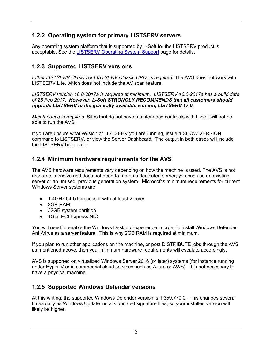#### <span id="page-4-0"></span>**1.2.2 Operating system for primary LISTSERV servers**

Any operating system platform that is supported by L-Soft for the LISTSERV product is acceptable. See the [LISTSERV Operating System Support](http://www.lsoft.com/products/listserv_os.asp) page for details.

#### <span id="page-4-1"></span>**1.2.3 Supported LISTSERV versions**

*Either LISTSERV Classic or LISTSERV Classic HPO, is required.* The AVS does not work with LISTSERV Lite, which does not include the AV scan feature.

*LISTSERV version 16.0-2017a is required at minimum. LISTSERV 16.0-2017a has a build date of 28 Feb 2017. However, L-Soft STRONGLY RECOMMENDS that all customers should upgrade LISTSERV to the generally-available version, LISTSERV 17.0.*

*Maintenance is required.* Sites that do not have maintenance contracts with L-Soft will not be able to run the AVS.

If you are unsure what version of LISTSERV you are running, issue a SHOW VERSION command to LISTSERV, or view the Server Dashboard. The output in both cases will include the LISTSERV build date.

#### <span id="page-4-2"></span>**1.2.4 Minimum hardware requirements for the AVS**

The AVS hardware requirements vary depending on how the machine is used. The AVS is not resource intensive and does not need to run on a dedicated server; you can use an existing server or an unused, previous generation system. Microsoft's minimum requirements for current Windows Server systems are

- 1.4GHz 64-bit processor with at least 2 cores
- 2GB RAM
- 32GB system partition
- 1Gbit PCI Express NIC

You will need to enable the Windows Desktop Experience in order to install Windows Defender Anti-Virus as a server feature. This is why 2GB RAM is required at minimum.

If you plan to run other applications on the machine, or post DISTRIBUTE jobs through the AVS as mentioned above, then your minimum hardware requirements will escalate accordingly.

AVS is supported on virtualized Windows Server 2016 (or later) systems (for instance running under Hyper-V or in commercial cloud services such as Azure or AWS). It is not necessary to have a physical machine.

#### <span id="page-4-3"></span>**1.2.5 Supported Windows Defender versions**

At this writing, the supported Windows Defender version is 1.359.770.0. This changes several times daily as Windows Update installs updated signature files, so your installed version will likely be higher.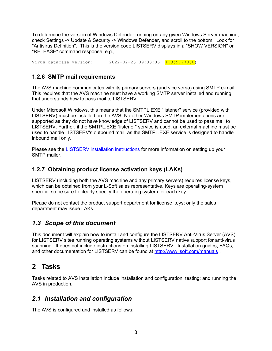To determine the version of Windows Defender running on any given Windows Server machine, check Settings -> Update & Security -> Windows Defender, and scroll to the bottom. Look for "Antivirus Definition". This is the version code LISTSERV displays in a "SHOW VERSION" or "RELEASE" command response, e.g.,

Virus database version: 2022-02-23 09:33:06 (1.359.770.0)

#### <span id="page-5-0"></span>**1.2.6 SMTP mail requirements**

The AVS machine communicates with its primary servers (and vice versa) using SMTP e-mail. This requires that the AVS machine must have a working SMTP server installed and running that understands how to pass mail to LISTSERV.

Under Microsoft Windows, this means that the SMTPL.EXE "listener" service (provided with LISTSERV) must be installed on the AVS. No other Windows SMTP implementations are supported as they do not have knowledge of LISTSERV and cannot be used to pass mail to LISTSERV. Further, if the SMTPL.EXE "listener" service is used, an external machine must be used to handle LISTSERV's outbound mail, as the SMTPL.EXE service is designed to handle inbound mail only.

Please see the [LISTSERV installation instructions](http://www.lsoft.com/manuals) for more information on setting up your SMTP mailer.

#### <span id="page-5-1"></span>**1.2.7 Obtaining product license activation keys (LAKs)**

LISTSERV (including both the AVS machine and any primary servers) requires license keys, which can be obtained from your L-Soft sales representative. Keys are operating-system specific, so be sure to clearly specify the operating system for each key.

Please do not contact the product support department for license keys; only the sales department may issue LAKs.

#### <span id="page-5-2"></span>*1.3 Scope of this document*

This document will explain how to install and configure the LISTSERV Anti-Virus Server (AVS) for LISTSERV sites running operating systems without LISTSERV native support for anti-virus scanning. It does not include instructions on installing LISTSERV. Installation guides, FAQs, and other documentation for LISTSERV can be found at<http://www.lsoft.com/manuals> .

## <span id="page-5-3"></span>**2 Tasks**

Tasks related to AVS installation include installation and configuration; testing; and running the AVS in production.

#### <span id="page-5-4"></span>*2.1 Installation and configuration*

The AVS is configured and installed as follows: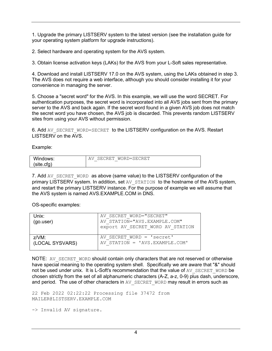1. Upgrade the primary LISTSERV system to the latest version (see the installation guide for your operating system platform for upgrade instructions).

2. Select hardware and operating system for the AVS system.

3. Obtain license activation keys (LAKs) for the AVS from your L-Soft sales representative.

4. Download and install LISTSERV 17.0 on the AVS system, using the LAKs obtained in step 3. The AVS does not require a web interface, although you should consider installing it for your convenience in managing the server.

5. Choose a "secret word" for the AVS. In this example, we will use the word SECRET. For authentication purposes, the secret word is incorporated into all AVS jobs sent from the primary server to the AVS and back again. If the secret word found in a given AVS job does not match the secret word you have chosen, the AVS job is discarded. This prevents random LISTSERV sites from using your AVS without permission.

6. Add AV\_SECRET\_WORD=SECRET\_to the LISTSERV configuration on the AVS. Restart LISTSERV on the AVS.

Example:

| Windows:  | RET<br>.<br>MURID=S<br>`R H:<br>-3 HG.<br>$\cdots$<br>$\overline{\phantom{a}}$<br>∼<br>_ |
|-----------|------------------------------------------------------------------------------------------|
| .site.cfa |                                                                                          |

7. Add AV\_SECRET\_WORD as above (same value) to the LISTSERV configuration of the primary LISTSERV system. In addition, set AV STATION to the hostname of the AVS system, and restart the primary LISTSERV instance. For the purpose of example we will assume that the AVS system is named AVS.EXAMPLE.COM in DNS.

OS-specific examples:

| Unix:<br>(go.user) | AV SECRET WORD="SECRET"<br>AV STATION="AVS.EXAMPLE.COM"<br>export AV SECRET WORD AV STATION |
|--------------------|---------------------------------------------------------------------------------------------|
| $Z/VM$ :           | AV SECRET WORD = 'secret'                                                                   |
| (LOCAL SYSVARS)    | AV STATION = 'AVS.EXAMPLE.COM'                                                              |

NOTE: AV\_SECRET\_WORD should contain only characters that are not reserved or otherwise have special meaning to the operating system shell. Specifically we are aware that "&" should not be used under unix. It is L-Soft's recommendation that the value of AV SECRET WORD be chosen strictly from the set of all alphanumeric characters (A-Z, a-z, 0-9) plus dash, underscore, and period. The use of other characters in AV\_SECRET\_WORD may result in errors such as

22 Feb 2022 02:22:22 Processing file 37472 from MAILER@LISTSERV.EXAMPLE.COM

-> Invalid AV signature.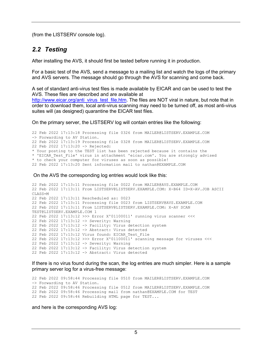(from the LISTSERV console log).

#### <span id="page-7-0"></span>*2.2 Testing*

After installing the AVS, it should first be tested before running it in production.

For a basic test of the AVS, send a message to a mailing list and watch the logs of the primary and AVS servers. The message should go through the AVS for scanning and come back.

A set of standard anti-virus test files is made available by EICAR and can be used to test the AVS. These files are described and are available at [http://www.eicar.org/anti\\_virus\\_test\\_file.htm.](http://www.eicar.org/anti_virus_test_file.htm) The files are NOT viral in nature, but note that in order to download them, local anti-virus scanning may need to be turned off, as most anti-virus suites will (as designed) quarantine the EICAR test files.

On the primary server, the LISTSERV log will contain entries like the following:

22 Feb 2022 17:13:18 Processing file 0326 from MAILER@LISTSERV.EXAMPLE.COM -> Forwarding to AV Station. 22 Feb 2022 17:13:19 Processing file 0328 from MAILER@LISTSERV.EXAMPLE.COM 22 Feb 2022 17:13:20 -> Rejected: \* Your posting to the TEST list has been rejected because it contains the \* 'EICAR\_Test\_File' virus in attachment 'eicar.com'. You are strongly advised \* to check your computer for viruses as soon as possible! 22 Feb 2022 17:13:20 Sent information mail to nathan@EXAMPLE.COM

On the AVS the corresponding log entries would look like this:

```
22 Feb 2022 17:13:11 Processing file 0022 from MAILER@AVS.EXAMPLE.COM 
22 Feb 2022 17:13:11 From LISTSERV@LISTSERV.EXAMPLE.COM: X-B64 ID=X-AV.JOB ASCII 
CLASS=M 
22 Feb 2022 17:13:11 Rescheduled as: 0023 
22 Feb 2022 17:13:11 Processing file 0023 from LISTSERV@AVS.EXAMPLE.COM 
22 Feb 2022 17:13:11 From LISTSERV@LISTSERV.EXAMPLE.COM: X-AV SCAN 
TEST@LISTSERV.EXAMPLE.COM 1 
22 Feb 2022 17:13:12 >>> Error X'01100011' running virus scanner <<< 
22 Feb 2022 17:13:12 -> Severity: Warning 
22 Feb 2022 17:13:12 -> Facility: Virus detection system 
22 Feb 2022 17:13:12 -> Abstract: Virus detected 
22 Feb 2022 17:13:12 Virus found: EICAR_Test_File 
22 Feb 2022 17:13:12 >>> Error X'01100011' scanning message for viruses <<< 
22 Feb 2022 17:13:12 -> Severity: Warning 
22 Feb 2022 17:13:12 -> Facility: Virus detection system 
22 Feb 2022 17:13:12 -> Abstract: Virus detected
```
If there is no virus found during the scan, the log entries are much simpler. Here is a sample primary server log for a virus-free message:

22 Feb 2022 09:58:44 Processing file 0510 from MAILER@LISTSERV.EXAMPLE.COM -> Forwarding to AV Station. 22 Feb 2022 09:58:46 Processing file 0512 from MAILER@LISTSERV.EXAMPLE.COM 22 Feb 2022 09:58:46 Processing mail from nathan@EXAMPLE.COM for TEST 22 Feb 2022 09:58:46 Rebuilding HTML page for TEST...

and here is the corresponding AVS log: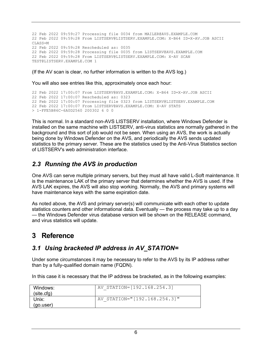22 Feb 2022 09:59:27 Processing file 0034 from MAILER@AVS.EXAMPLE.COM 22 Feb 2022 09:59:28 From LISTSERV@LISTSERV.EXAMPLE.COM: X-B64 ID=X-AV.JOB ASCII  $CIASS=M$ 22 Feb 2022 09:59:28 Rescheduled as: 0035 22 Feb 2022 09:59:28 Processing file 0035 from LISTSERV@AVS.EXAMPLE.COM 22 Feb 2022 09:59:28 From LISTSERV@LISTSERV.EXAMPLE.COM: X-AV SCAN TEST@LISTSERV.EXAMPLE.COM 1

(If the AV scan is clear, no further information is written to the AVS log.)

You will also see entries like this, approximately once each hour:

```
22 Feb 2022 17:00:07 From LISTSERV@AVS.EXAMPLE.COM: X-B64 ID=X-AV.JOB ASCII 
22 Feb 2022 17:00:07 Rescheduled as: 0323 
22 Feb 2022 17:00:07 Processing file 0323 from LISTSERV@LISTSERV.EXAMPLE.COM 
22 Feb 2022 17:00:07 From LISTSERV@AVS.EXAMPLE.COM: X-AV STATS 
> 1-FFE5B86C-6A0D2560 200302 6 0 0
```
This is normal. In a standard non-AVS LISTSERV installation, where Windows Defender is installed on the same machine with LISTSERV, anti-virus statistics are normally gathered in the background and this sort of job would not be seen. When using an AVS, the work is actually being done by Windows Defender on the AVS, and periodically the AVS sends updated statistics to the primary server. These are the statistics used by the Anti-Virus Statistics section of LISTSERV's web administration interface.

#### <span id="page-8-0"></span>*2.3 Running the AVS in production*

One AVS can serve multiple primary servers, but they must all have valid L-Soft maintenance. It is the maintenance LAK of the primary server that determines whether the AVS is used. If the AVS LAK expires, the AVS will also stop working. Normally, the AVS and primary systems will have maintenance keys with the same expiration date.

As noted above, the AVS and primary server(s) will communicate with each other to update statistics counters and other informational data. Eventually — the process may take up to a day — the Windows Defender virus database version will be shown on the RELEASE command, and virus statistics will update.

## <span id="page-8-1"></span>**3 Reference**

#### <span id="page-8-2"></span>*3.1 Using bracketed IP address in AV\_STATION=*

Under some circumstances it may be necessary to refer to the AVS by its IP address rather than by a fully-qualified domain name (FQDN).

In this case it is necessary that the IP address be bracketed, as in the following examples:

| Windows:<br>(site.cfg) | AV STATION=[192.168.254.3]   |
|------------------------|------------------------------|
| Unix:<br>(go.user)     | AV STATION="[192.168.254.3]" |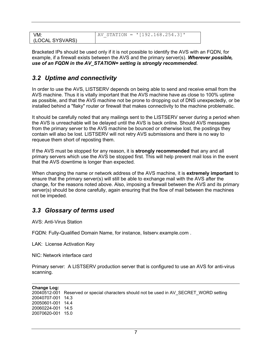| VM:             | AV STATION = $\text{V}$ [192.168.254.3]' |
|-----------------|------------------------------------------|
| (LOCAL SYSVARS) |                                          |

Bracketed IPs should be used only if it is not possible to identify the AVS with an FQDN, for example, if a firewall exists between the AVS and the primary server(s). *Wherever possible, use of an FQDN in the AV\_STATION= setting is strongly recommended.*

#### <span id="page-9-0"></span>*3.2 Uptime and connectivity*

In order to use the AVS, LISTSERV depends on being able to send and receive email from the AVS machine. Thus it is vitally important that the AVS machine have as close to 100% uptime as possible, and that the AVS machine not be prone to dropping out of DNS unexpectedly, or be installed behind a "flaky" router or firewall that makes connectivity to the machine problematic.

It should be carefully noted that any mailings sent to the LISTSERV server during a period when the AVS is unreachable will be delayed until the AVS is back online. Should AVS messages from the primary server to the AVS machine be bounced or otherwise lost, the postings they contain will also be lost. LISTSERV will not retry AVS submissions and there is no way to requeue them short of reposting them.

If the AVS must be stopped for any reason, it is **strongly recommended** that any and all primary servers which use the AVS be stopped first. This will help prevent mail loss in the event that the AVS downtime is longer than expected.

When changing the name or network address of the AVS machine, it is **extremely important** to ensure that the primary server(s) will still be able to exchange mail with the AVS after the change, for the reasons noted above. Also, imposing a firewall between the AVS and its primary server(s) should be done carefully, again ensuring that the flow of mail between the machines not be impeded.

#### <span id="page-9-1"></span>*3.3 Glossary of terms used*

AVS: Anti-Virus Station

FQDN: Fully-Qualified Domain Name, for instance, listserv.example.com .

LAK: License Activation Key

NIC: Network interface card

Primary server: A LISTSERV production server that is configured to use an AVS for anti-virus scanning.

| Change Log:       |                                                                                          |
|-------------------|------------------------------------------------------------------------------------------|
|                   | 20040512-001 Reserved or special characters should not be used in AV SECRET WORD setting |
| 20040707-001 14.3 |                                                                                          |
| 20050601-001 14.4 |                                                                                          |
| 20060224-001 14.5 |                                                                                          |
| 20070620-001 15.0 |                                                                                          |